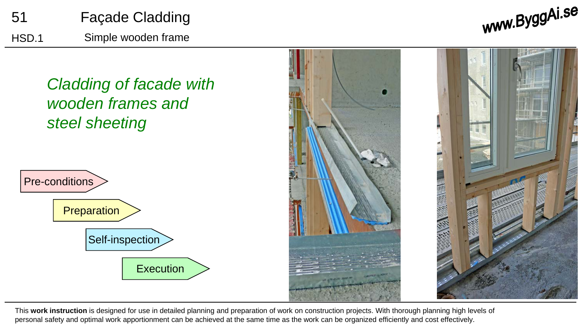

www.ByggAi.se

*Cladding of facade with wooden frames and steel sheeting*





This **work instruction** is designed for use in detailed planning and preparation of work on construction projects. With thorough planning high levels of personal safety and optimal work apportionment can be achieved at the same time as the work can be organized efficiently and cost effectively.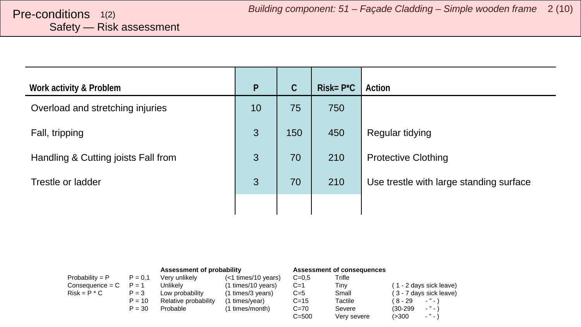# <span id="page-1-0"></span>Safety — Risk assessment

| Work activity & Problem             | $\mathsf{P}$ | $\mathcal{C}$ | $Risk = P^*C$ | Action                                  |
|-------------------------------------|--------------|---------------|---------------|-----------------------------------------|
| Overload and stretching injuries    | 10           | 75            | 750           |                                         |
| Fall, tripping                      | 3            | 150           | 450           | Regular tidying                         |
| Handling & Cutting joists Fall from | 3            | 70            | 210           | <b>Protective Clothing</b>              |
| Trestle or ladder                   | 3            | 70            | 210           | Use trestle with large standing surface |
|                                     |              |               |               |                                         |

|                   |           | Assessment of probability |                     |           | Assessment of consequences |                               |
|-------------------|-----------|---------------------------|---------------------|-----------|----------------------------|-------------------------------|
| Probability = $P$ | $P = 0.1$ | Very unlikely             | (<1 times/10 years) | $C = 0.5$ | Trifle                     |                               |
| $Consequence = C$ | $P = 1$   | Unlikelv                  | (1 times/10 years)  | $C=1$     | Tiny                       | (1 - 2 days sick leave)       |
| $Risk = P * C$    | $P = 3$   | Low probability           | (1 times/3 years)   | $C=5$     | Small                      | (3 - 7 days sick leave)       |
|                   | $P = 10$  | Relative probability      | (1 times/year)      | $C = 15$  | Tactile                    | ( 8 - 29<br>$\cdots$          |
|                   | $P = 30$  | Probable                  | (1 times/month)     | $C=70$    | Severe                     | $ "$ $ \lambda$<br>$(30-299)$ |
|                   |           |                           |                     | $C = 500$ | Very severe                | $\cdot$ " $\cdot$ "<br>(>300  |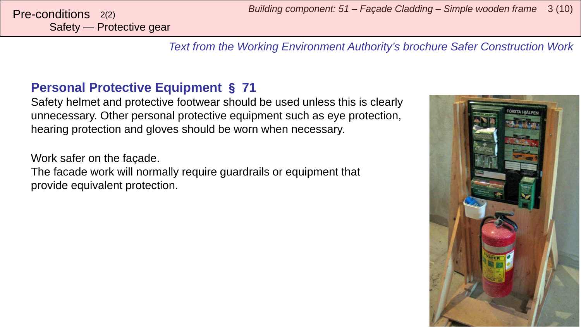Safety — Protective gear

*Text from the Working Environment Authority's brochure Safer Construction Work*

### **Personal Protective Equipment** § **71**

Safety helmet and protective footwear should be used unless this is clearly unnecessary. Other personal protective equipment such as eye protection, hearing protection and gloves should be worn when necessary.

Work safer on the façade.

The facade work will normally require guardrails or equipment that provide equivalent protection.

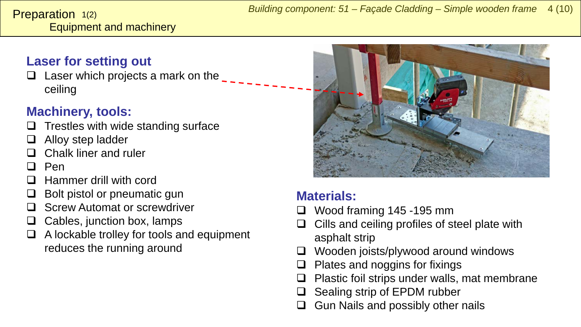#### <span id="page-3-0"></span>Equipment and machinery **Preparation**  $1(2)$

## **Laser for setting out**

 $\Box$  Laser which projects a mark on the ceiling

# **Machinery, tools:**

- Trestles with wide standing surface
- Alloy step ladder
- Chalk liner and ruler
- Pen
- Hammer drill with cord
- Bolt pistol or pneumatic gun
- Screw Automat or screwdriver
- $\Box$  Cables, junction box, lamps
- $\Box$  A lockable trolley for tools and equipment reduces the running around



### **Materials:**

- Wood framing 145 -195 mm
- Cills and ceiling profiles of steel plate with asphalt strip
- Wooden joists/plywood around windows
- $\Box$  Plates and noggins for fixings
- $\Box$  Plastic foil strips under walls, mat membrane
- Sealing strip of EPDM rubber
- Gun Nails and possibly other nails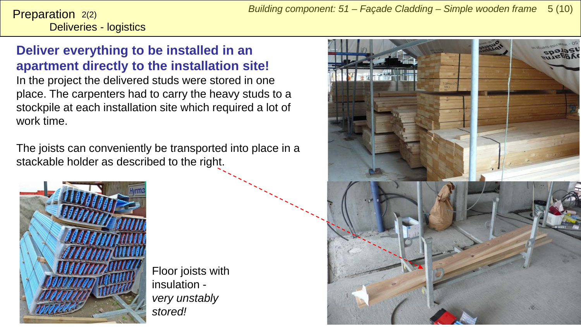Deliveries - logistics **Preparation**  $2(2)$ 

### **Deliver everything to be installed in an apartment directly to the installation site!**

In the project the delivered studs were stored in one place. The carpenters had to carry the heavy studs to a stockpile at each installation site which required a lot of work time.

The joists can conveniently be transported into place in a stackable holder as described to the right.



Floor joists with insulation *very unstably stored!*

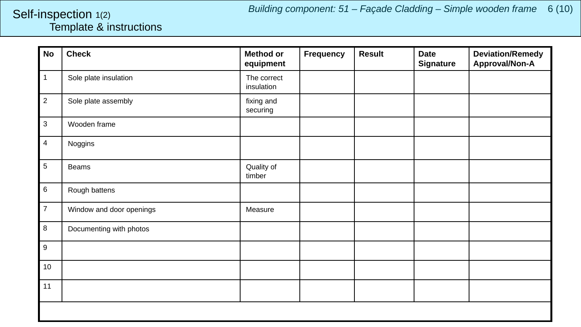*Building component: 51 – Façade Cladding – Simple wooden frame* 6 (10)

#### <span id="page-5-0"></span>Template & instructions Self-inspection 1(2)

| <b>No</b>      | <b>Check</b>             | <b>Method or</b><br>equipment | <b>Frequency</b> | <b>Result</b> | <b>Date</b><br><b>Signature</b> | <b>Deviation/Remedy</b><br>Approval/Non-A |
|----------------|--------------------------|-------------------------------|------------------|---------------|---------------------------------|-------------------------------------------|
| $\mathbf{1}$   | Sole plate insulation    | The correct<br>insulation     |                  |               |                                 |                                           |
| $\overline{2}$ | Sole plate assembly      | fixing and<br>securing        |                  |               |                                 |                                           |
| $\mathbf{3}$   | Wooden frame             |                               |                  |               |                                 |                                           |
| $\overline{4}$ | Noggins                  |                               |                  |               |                                 |                                           |
| $\sqrt{5}$     | <b>Beams</b>             | Quality of<br>timber          |                  |               |                                 |                                           |
| 6              | Rough battens            |                               |                  |               |                                 |                                           |
| $\overline{7}$ | Window and door openings | Measure                       |                  |               |                                 |                                           |
| 8              | Documenting with photos  |                               |                  |               |                                 |                                           |
| 9              |                          |                               |                  |               |                                 |                                           |
| 10             |                          |                               |                  |               |                                 |                                           |
| 11             |                          |                               |                  |               |                                 |                                           |
|                |                          |                               |                  |               |                                 |                                           |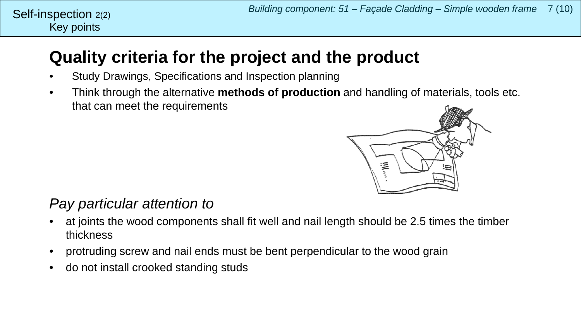#### Key points Self-inspection  $2(2)$

# **Quality criteria for the project and the product**

- Study Drawings, Specifications and Inspection planning
- Think through the alternative **methods of production** and handling of materials, tools etc. that can meet the requirements



# *Pay particular attention to*

- at joints the wood components shall fit well and nail length should be 2.5 times the timber thickness
- protruding screw and nail ends must be bent perpendicular to the wood grain
- do not install crooked standing studs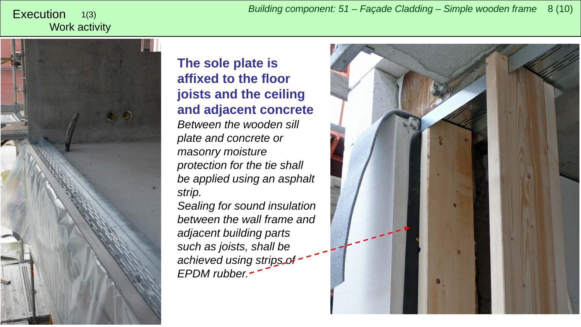<span id="page-7-0"></span>*Building component: 51 – Façade Cladding – Simple wooden frame* <sup>8</sup> (10) Execution

#### Work activity 1(3)



**The sole plate is affixed to the floor joists and the ceiling and adjacent concrete** *Between the wooden sill plate and concrete or masonry moisture protection for the tie shall be applied using an asphalt strip.*

*Sealing for sound insulation between the wall frame and adjacent building parts such as joists, shall be achieved using strips of EPDM rubber.*

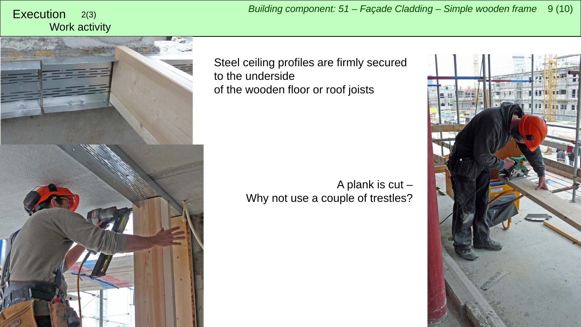# Work activity



Steel ceiling profiles are firmly secured to the underside of the wooden floor or roof joists

> A plank is cut – Why not use a couple of trestles?